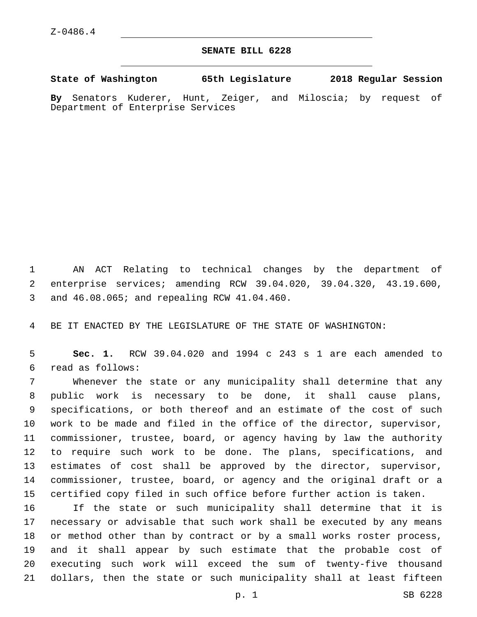## **SENATE BILL 6228**

**State of Washington 65th Legislature 2018 Regular Session**

**By** Senators Kuderer, Hunt, Zeiger, and Miloscia; by request of Department of Enterprise Services

 AN ACT Relating to technical changes by the department of enterprise services; amending RCW 39.04.020, 39.04.320, 43.19.600, and 46.08.065; and repealing RCW 41.04.460.3

BE IT ENACTED BY THE LEGISLATURE OF THE STATE OF WASHINGTON:

 **Sec. 1.** RCW 39.04.020 and 1994 c 243 s 1 are each amended to read as follows:6

 Whenever the state or any municipality shall determine that any public work is necessary to be done, it shall cause plans, specifications, or both thereof and an estimate of the cost of such work to be made and filed in the office of the director, supervisor, commissioner, trustee, board, or agency having by law the authority to require such work to be done. The plans, specifications, and estimates of cost shall be approved by the director, supervisor, commissioner, trustee, board, or agency and the original draft or a certified copy filed in such office before further action is taken.

 If the state or such municipality shall determine that it is necessary or advisable that such work shall be executed by any means or method other than by contract or by a small works roster process, and it shall appear by such estimate that the probable cost of executing such work will exceed the sum of twenty-five thousand dollars, then the state or such municipality shall at least fifteen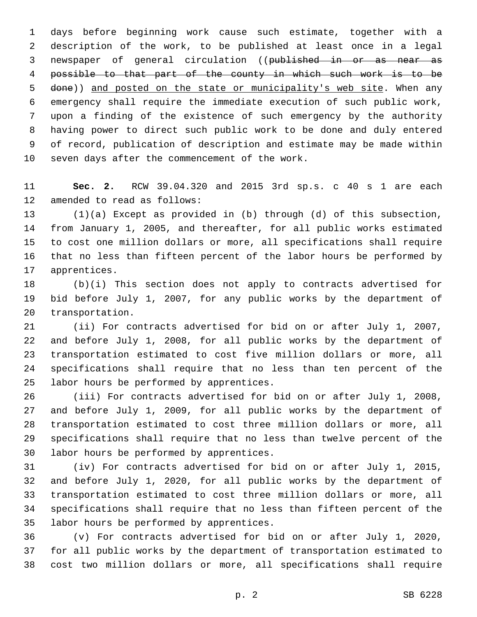days before beginning work cause such estimate, together with a description of the work, to be published at least once in a legal newspaper of general circulation ((published in or as near as possible to that part of the county in which such work is to be done)) and posted on the state or municipality's web site. When any emergency shall require the immediate execution of such public work, upon a finding of the existence of such emergency by the authority having power to direct such public work to be done and duly entered of record, publication of description and estimate may be made within 10 seven days after the commencement of the work.

 **Sec. 2.** RCW 39.04.320 and 2015 3rd sp.s. c 40 s 1 are each 12 amended to read as follows:

 (1)(a) Except as provided in (b) through (d) of this subsection, from January 1, 2005, and thereafter, for all public works estimated to cost one million dollars or more, all specifications shall require that no less than fifteen percent of the labor hours be performed by 17 apprentices.

 (b)(i) This section does not apply to contracts advertised for bid before July 1, 2007, for any public works by the department of 20 transportation.

 (ii) For contracts advertised for bid on or after July 1, 2007, and before July 1, 2008, for all public works by the department of transportation estimated to cost five million dollars or more, all specifications shall require that no less than ten percent of the 25 labor hours be performed by apprentices.

 (iii) For contracts advertised for bid on or after July 1, 2008, and before July 1, 2009, for all public works by the department of transportation estimated to cost three million dollars or more, all specifications shall require that no less than twelve percent of the 30 labor hours be performed by apprentices.

 (iv) For contracts advertised for bid on or after July 1, 2015, and before July 1, 2020, for all public works by the department of transportation estimated to cost three million dollars or more, all specifications shall require that no less than fifteen percent of the 35 labor hours be performed by apprentices.

 (v) For contracts advertised for bid on or after July 1, 2020, for all public works by the department of transportation estimated to cost two million dollars or more, all specifications shall require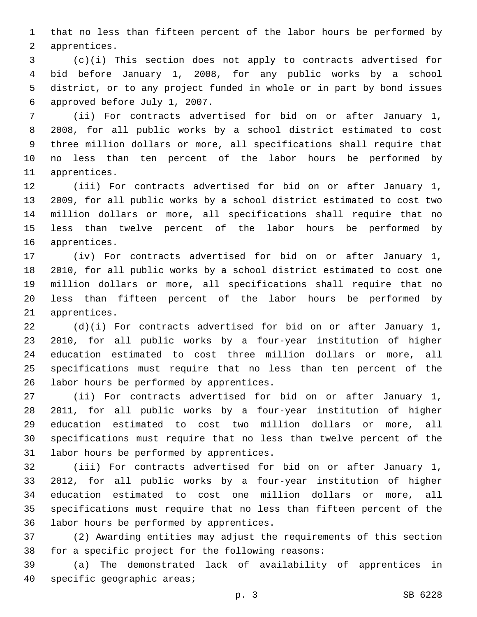that no less than fifteen percent of the labor hours be performed by 2 apprentices.

 (c)(i) This section does not apply to contracts advertised for bid before January 1, 2008, for any public works by a school district, or to any project funded in whole or in part by bond issues 6 approved before July 1, 2007.

 (ii) For contracts advertised for bid on or after January 1, 2008, for all public works by a school district estimated to cost three million dollars or more, all specifications shall require that no less than ten percent of the labor hours be performed by 11 apprentices.

 (iii) For contracts advertised for bid on or after January 1, 2009, for all public works by a school district estimated to cost two million dollars or more, all specifications shall require that no less than twelve percent of the labor hours be performed by 16 apprentices.

 (iv) For contracts advertised for bid on or after January 1, 2010, for all public works by a school district estimated to cost one million dollars or more, all specifications shall require that no less than fifteen percent of the labor hours be performed by 21 apprentices.

 (d)(i) For contracts advertised for bid on or after January 1, 2010, for all public works by a four-year institution of higher education estimated to cost three million dollars or more, all specifications must require that no less than ten percent of the 26 labor hours be performed by apprentices.

 (ii) For contracts advertised for bid on or after January 1, 2011, for all public works by a four-year institution of higher education estimated to cost two million dollars or more, all specifications must require that no less than twelve percent of the 31 labor hours be performed by apprentices.

 (iii) For contracts advertised for bid on or after January 1, 2012, for all public works by a four-year institution of higher education estimated to cost one million dollars or more, all specifications must require that no less than fifteen percent of the 36 labor hours be performed by apprentices.

 (2) Awarding entities may adjust the requirements of this section 38 for a specific project for the following reasons:

 (a) The demonstrated lack of availability of apprentices in 40 specific geographic areas;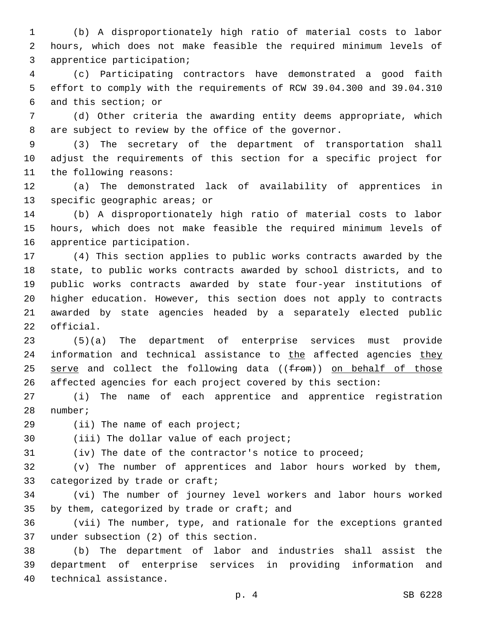(b) A disproportionately high ratio of material costs to labor hours, which does not make feasible the required minimum levels of 3 apprentice participation;

 (c) Participating contractors have demonstrated a good faith effort to comply with the requirements of RCW 39.04.300 and 39.04.310 6 and this section; or

 (d) Other criteria the awarding entity deems appropriate, which are subject to review by the office of the governor.

 (3) The secretary of the department of transportation shall adjust the requirements of this section for a specific project for 11 the following reasons:

 (a) The demonstrated lack of availability of apprentices in 13 specific geographic areas; or

 (b) A disproportionately high ratio of material costs to labor hours, which does not make feasible the required minimum levels of 16 apprentice participation.

 (4) This section applies to public works contracts awarded by the state, to public works contracts awarded by school districts, and to public works contracts awarded by state four-year institutions of higher education. However, this section does not apply to contracts awarded by state agencies headed by a separately elected public 22 official.

 (5)(a) The department of enterprise services must provide 24 information and technical assistance to the affected agencies they 25 serve and collect the following data ((from)) on behalf of those affected agencies for each project covered by this section:

 (i) The name of each apprentice and apprentice registration 28 number;

29 (ii) The name of each project;

30 (iii) The dollar value of each project;

(iv) The date of the contractor's notice to proceed;

 (v) The number of apprentices and labor hours worked by them, 33 categorized by trade or craft;

 (vi) The number of journey level workers and labor hours worked 35 by them, categorized by trade or craft; and

 (vii) The number, type, and rationale for the exceptions granted 37 under subsection (2) of this section.

 (b) The department of labor and industries shall assist the department of enterprise services in providing information and 40 technical assistance.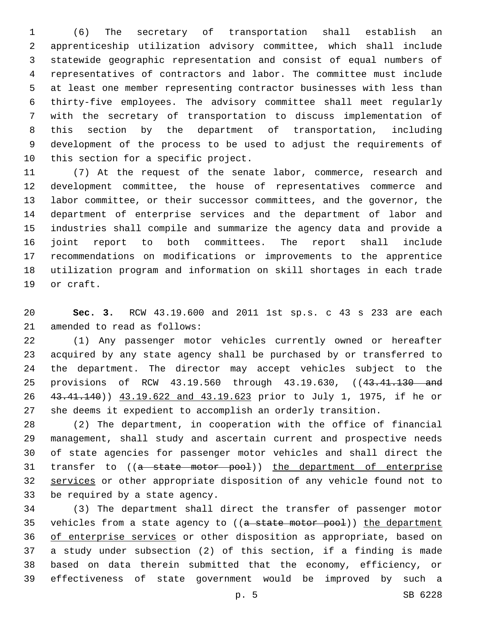(6) The secretary of transportation shall establish an apprenticeship utilization advisory committee, which shall include statewide geographic representation and consist of equal numbers of representatives of contractors and labor. The committee must include at least one member representing contractor businesses with less than thirty-five employees. The advisory committee shall meet regularly with the secretary of transportation to discuss implementation of this section by the department of transportation, including development of the process to be used to adjust the requirements of 10 this section for a specific project.

 (7) At the request of the senate labor, commerce, research and development committee, the house of representatives commerce and labor committee, or their successor committees, and the governor, the department of enterprise services and the department of labor and industries shall compile and summarize the agency data and provide a joint report to both committees. The report shall include recommendations on modifications or improvements to the apprentice utilization program and information on skill shortages in each trade 19 or craft.

 **Sec. 3.** RCW 43.19.600 and 2011 1st sp.s. c 43 s 233 are each 21 amended to read as follows:

 (1) Any passenger motor vehicles currently owned or hereafter acquired by any state agency shall be purchased by or transferred to the department. The director may accept vehicles subject to the 25 provisions of RCW 43.19.560 through 43.19.630, ((43.41.130 and 43.41.140)) 43.19.622 and 43.19.623 prior to July 1, 1975, if he or she deems it expedient to accomplish an orderly transition.

 (2) The department, in cooperation with the office of financial management, shall study and ascertain current and prospective needs of state agencies for passenger motor vehicles and shall direct the 31 transfer to ((a state motor pool)) the department of enterprise services or other appropriate disposition of any vehicle found not to 33 be required by a state agency.

 (3) The department shall direct the transfer of passenger motor 35 vehicles from a state agency to ((a state motor pool)) the department of enterprise services or other disposition as appropriate, based on a study under subsection (2) of this section, if a finding is made based on data therein submitted that the economy, efficiency, or effectiveness of state government would be improved by such a

p. 5 SB 6228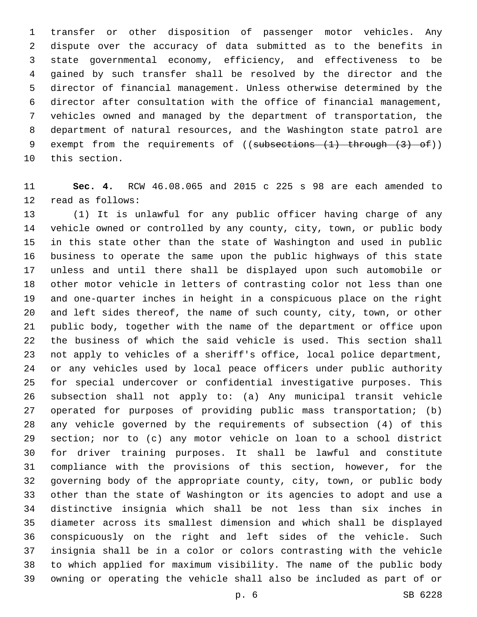transfer or other disposition of passenger motor vehicles. Any dispute over the accuracy of data submitted as to the benefits in state governmental economy, efficiency, and effectiveness to be gained by such transfer shall be resolved by the director and the director of financial management. Unless otherwise determined by the director after consultation with the office of financial management, vehicles owned and managed by the department of transportation, the department of natural resources, and the Washington state patrol are 9 exempt from the requirements of ((subsections (1) through (3) of)) 10 this section.

 **Sec. 4.** RCW 46.08.065 and 2015 c 225 s 98 are each amended to 12 read as follows:

 (1) It is unlawful for any public officer having charge of any vehicle owned or controlled by any county, city, town, or public body in this state other than the state of Washington and used in public business to operate the same upon the public highways of this state unless and until there shall be displayed upon such automobile or other motor vehicle in letters of contrasting color not less than one and one-quarter inches in height in a conspicuous place on the right and left sides thereof, the name of such county, city, town, or other public body, together with the name of the department or office upon the business of which the said vehicle is used. This section shall not apply to vehicles of a sheriff's office, local police department, or any vehicles used by local peace officers under public authority for special undercover or confidential investigative purposes. This subsection shall not apply to: (a) Any municipal transit vehicle operated for purposes of providing public mass transportation; (b) any vehicle governed by the requirements of subsection (4) of this section; nor to (c) any motor vehicle on loan to a school district for driver training purposes. It shall be lawful and constitute compliance with the provisions of this section, however, for the governing body of the appropriate county, city, town, or public body other than the state of Washington or its agencies to adopt and use a distinctive insignia which shall be not less than six inches in diameter across its smallest dimension and which shall be displayed conspicuously on the right and left sides of the vehicle. Such insignia shall be in a color or colors contrasting with the vehicle to which applied for maximum visibility. The name of the public body owning or operating the vehicle shall also be included as part of or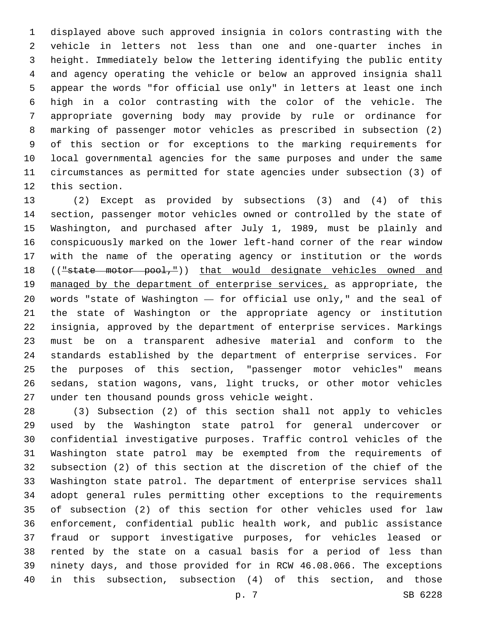displayed above such approved insignia in colors contrasting with the vehicle in letters not less than one and one-quarter inches in height. Immediately below the lettering identifying the public entity and agency operating the vehicle or below an approved insignia shall appear the words "for official use only" in letters at least one inch high in a color contrasting with the color of the vehicle. The appropriate governing body may provide by rule or ordinance for marking of passenger motor vehicles as prescribed in subsection (2) of this section or for exceptions to the marking requirements for local governmental agencies for the same purposes and under the same circumstances as permitted for state agencies under subsection (3) of 12 this section.

 (2) Except as provided by subsections (3) and (4) of this section, passenger motor vehicles owned or controlled by the state of Washington, and purchased after July 1, 1989, must be plainly and conspicuously marked on the lower left-hand corner of the rear window with the name of the operating agency or institution or the words 18 (("state motor pool,")) that would designate vehicles owned and managed by the department of enterprise services, as appropriate, the words "state of Washington — for official use only," and the seal of the state of Washington or the appropriate agency or institution insignia, approved by the department of enterprise services. Markings must be on a transparent adhesive material and conform to the standards established by the department of enterprise services. For the purposes of this section, "passenger motor vehicles" means sedans, station wagons, vans, light trucks, or other motor vehicles 27 under ten thousand pounds gross vehicle weight.

 (3) Subsection (2) of this section shall not apply to vehicles used by the Washington state patrol for general undercover or confidential investigative purposes. Traffic control vehicles of the Washington state patrol may be exempted from the requirements of subsection (2) of this section at the discretion of the chief of the Washington state patrol. The department of enterprise services shall adopt general rules permitting other exceptions to the requirements of subsection (2) of this section for other vehicles used for law enforcement, confidential public health work, and public assistance fraud or support investigative purposes, for vehicles leased or rented by the state on a casual basis for a period of less than ninety days, and those provided for in RCW 46.08.066. The exceptions in this subsection, subsection (4) of this section, and those

p. 7 SB 6228